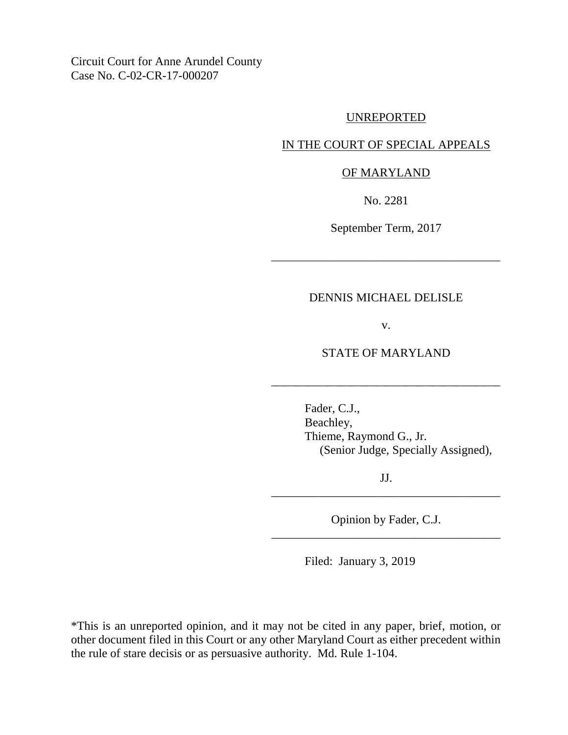Circuit Court for Anne Arundel County Case No. C-02-CR-17-000207

### UNREPORTED

## IN THE COURT OF SPECIAL APPEALS

#### OF MARYLAND

No. 2281

September Term, 2017

\_\_\_\_\_\_\_\_\_\_\_\_\_\_\_\_\_\_\_\_\_\_\_\_\_\_\_\_\_\_\_\_\_\_\_\_\_\_

### DENNIS MICHAEL DELISLE

v.

### STATE OF MARYLAND

\_\_\_\_\_\_\_\_\_\_\_\_\_\_\_\_\_\_\_\_\_\_\_\_\_\_\_\_\_\_\_\_\_\_\_\_\_\_

Fader, C.J., Beachley, Thieme, Raymond G., Jr. (Senior Judge, Specially Assigned),

JJ. \_\_\_\_\_\_\_\_\_\_\_\_\_\_\_\_\_\_\_\_\_\_\_\_\_\_\_\_\_\_\_\_\_\_\_\_\_\_

Opinion by Fader, C.J. \_\_\_\_\_\_\_\_\_\_\_\_\_\_\_\_\_\_\_\_\_\_\_\_\_\_\_\_\_\_\_\_\_\_\_\_\_\_

Filed: January 3, 2019

\*This is an unreported opinion, and it may not be cited in any paper, brief, motion, or other document filed in this Court or any other Maryland Court as either precedent within the rule of stare decisis or as persuasive authority. Md. Rule 1-104.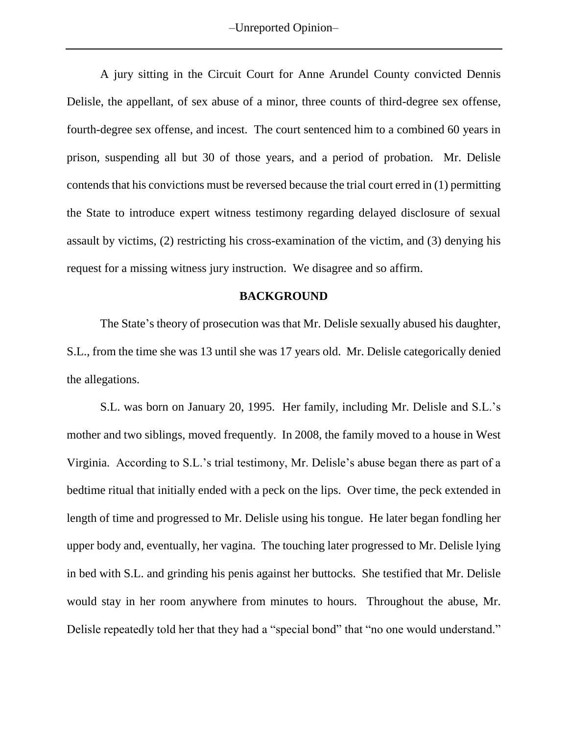A jury sitting in the Circuit Court for Anne Arundel County convicted Dennis Delisle, the appellant, of sex abuse of a minor, three counts of third-degree sex offense, fourth-degree sex offense, and incest. The court sentenced him to a combined 60 years in prison, suspending all but 30 of those years, and a period of probation. Mr. Delisle contends that his convictions must be reversed because the trial court erred in (1) permitting the State to introduce expert witness testimony regarding delayed disclosure of sexual assault by victims, (2) restricting his cross-examination of the victim, and (3) denying his request for a missing witness jury instruction. We disagree and so affirm.

### **BACKGROUND**

The State's theory of prosecution was that Mr. Delisle sexually abused his daughter, S.L., from the time she was 13 until she was 17 years old. Mr. Delisle categorically denied the allegations.

S.L. was born on January 20, 1995. Her family, including Mr. Delisle and S.L.'s mother and two siblings, moved frequently. In 2008, the family moved to a house in West Virginia. According to S.L.'s trial testimony, Mr. Delisle's abuse began there as part of a bedtime ritual that initially ended with a peck on the lips. Over time, the peck extended in length of time and progressed to Mr. Delisle using his tongue. He later began fondling her upper body and, eventually, her vagina. The touching later progressed to Mr. Delisle lying in bed with S.L. and grinding his penis against her buttocks. She testified that Mr. Delisle would stay in her room anywhere from minutes to hours. Throughout the abuse, Mr. Delisle repeatedly told her that they had a "special bond" that "no one would understand."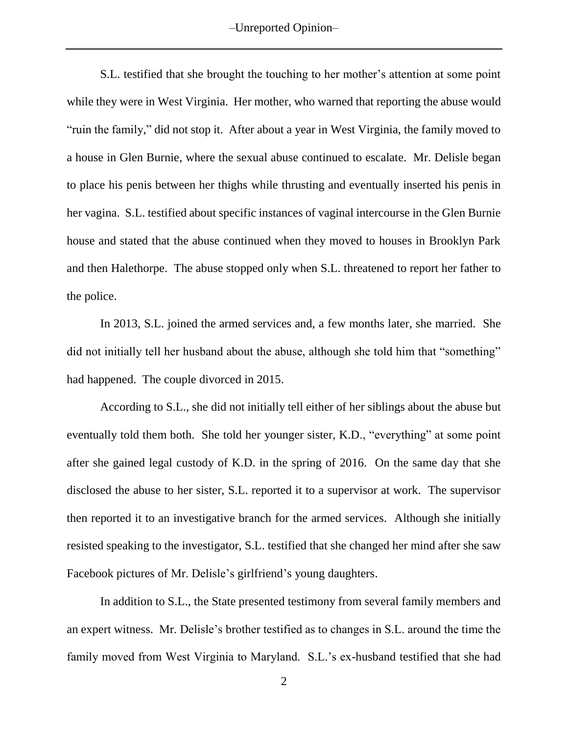S.L. testified that she brought the touching to her mother's attention at some point while they were in West Virginia. Her mother, who warned that reporting the abuse would "ruin the family," did not stop it. After about a year in West Virginia, the family moved to a house in Glen Burnie, where the sexual abuse continued to escalate. Mr. Delisle began to place his penis between her thighs while thrusting and eventually inserted his penis in her vagina. S.L. testified about specific instances of vaginal intercourse in the Glen Burnie house and stated that the abuse continued when they moved to houses in Brooklyn Park and then Halethorpe. The abuse stopped only when S.L. threatened to report her father to the police.

In 2013, S.L. joined the armed services and, a few months later, she married. She did not initially tell her husband about the abuse, although she told him that "something" had happened. The couple divorced in 2015.

According to S.L., she did not initially tell either of her siblings about the abuse but eventually told them both. She told her younger sister, K.D., "everything" at some point after she gained legal custody of K.D. in the spring of 2016. On the same day that she disclosed the abuse to her sister, S.L. reported it to a supervisor at work. The supervisor then reported it to an investigative branch for the armed services. Although she initially resisted speaking to the investigator, S.L. testified that she changed her mind after she saw Facebook pictures of Mr. Delisle's girlfriend's young daughters.

In addition to S.L., the State presented testimony from several family members and an expert witness. Mr. Delisle's brother testified as to changes in S.L. around the time the family moved from West Virginia to Maryland. S.L.'s ex-husband testified that she had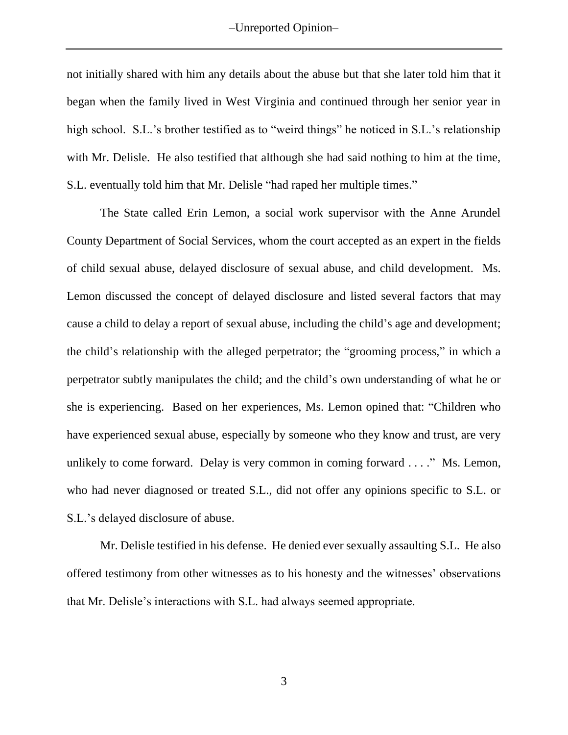not initially shared with him any details about the abuse but that she later told him that it began when the family lived in West Virginia and continued through her senior year in high school. S.L.'s brother testified as to "weird things" he noticed in S.L.'s relationship with Mr. Delisle. He also testified that although she had said nothing to him at the time, S.L. eventually told him that Mr. Delisle "had raped her multiple times."

The State called Erin Lemon, a social work supervisor with the Anne Arundel County Department of Social Services, whom the court accepted as an expert in the fields of child sexual abuse, delayed disclosure of sexual abuse, and child development. Ms. Lemon discussed the concept of delayed disclosure and listed several factors that may cause a child to delay a report of sexual abuse, including the child's age and development; the child's relationship with the alleged perpetrator; the "grooming process," in which a perpetrator subtly manipulates the child; and the child's own understanding of what he or she is experiencing. Based on her experiences, Ms. Lemon opined that: "Children who have experienced sexual abuse, especially by someone who they know and trust, are very unlikely to come forward. Delay is very common in coming forward . . . ." Ms. Lemon, who had never diagnosed or treated S.L., did not offer any opinions specific to S.L. or S.L.'s delayed disclosure of abuse.

Mr. Delisle testified in his defense. He denied ever sexually assaulting S.L. He also offered testimony from other witnesses as to his honesty and the witnesses' observations that Mr. Delisle's interactions with S.L. had always seemed appropriate.

3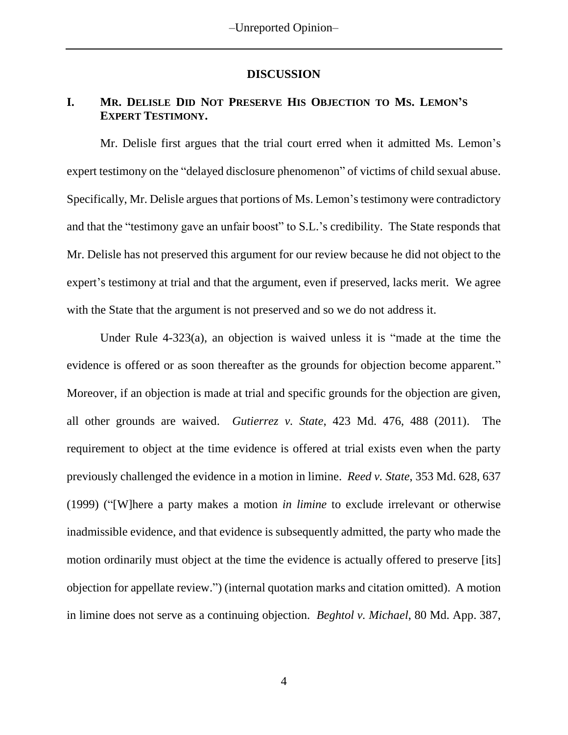#### **DISCUSSION**

## **I. MR. DELISLE DID NOT PRESERVE HIS OBJECTION TO MS. LEMON'S EXPERT TESTIMONY.**

Mr. Delisle first argues that the trial court erred when it admitted Ms. Lemon's expert testimony on the "delayed disclosure phenomenon" of victims of child sexual abuse. Specifically, Mr. Delisle argues that portions of Ms. Lemon's testimony were contradictory and that the "testimony gave an unfair boost" to S.L.'s credibility. The State responds that Mr. Delisle has not preserved this argument for our review because he did not object to the expert's testimony at trial and that the argument, even if preserved, lacks merit. We agree with the State that the argument is not preserved and so we do not address it.

Under Rule 4-323(a), an objection is waived unless it is "made at the time the evidence is offered or as soon thereafter as the grounds for objection become apparent." Moreover, if an objection is made at trial and specific grounds for the objection are given, all other grounds are waived. *Gutierrez v. State*, 423 Md. 476, 488 (2011). The requirement to object at the time evidence is offered at trial exists even when the party previously challenged the evidence in a motion in limine. *Reed v. State*, 353 Md. 628, 637 (1999) ("[W]here a party makes a motion *in limine* to exclude irrelevant or otherwise inadmissible evidence, and that evidence is subsequently admitted, the party who made the motion ordinarily must object at the time the evidence is actually offered to preserve [its] objection for appellate review.") (internal quotation marks and citation omitted). A motion in limine does not serve as a continuing objection. *Beghtol v. Michael*, 80 Md. App. 387,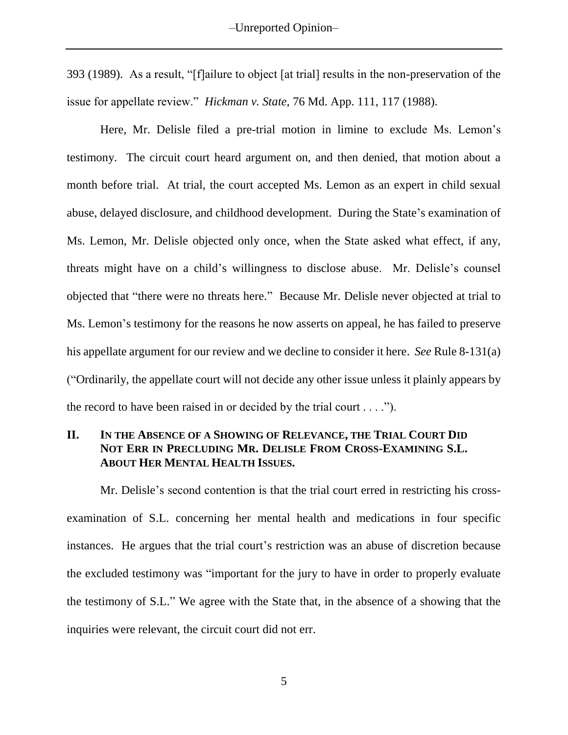393 (1989). As a result, "[f]ailure to object [at trial] results in the non-preservation of the issue for appellate review." *Hickman v. State*, 76 Md. App. 111, 117 (1988).

Here, Mr. Delisle filed a pre-trial motion in limine to exclude Ms. Lemon's testimony. The circuit court heard argument on, and then denied, that motion about a month before trial. At trial, the court accepted Ms. Lemon as an expert in child sexual abuse, delayed disclosure, and childhood development. During the State's examination of Ms. Lemon, Mr. Delisle objected only once, when the State asked what effect, if any, threats might have on a child's willingness to disclose abuse. Mr. Delisle's counsel objected that "there were no threats here." Because Mr. Delisle never objected at trial to Ms. Lemon's testimony for the reasons he now asserts on appeal, he has failed to preserve his appellate argument for our review and we decline to consider it here. *See* Rule 8-131(a) ("Ordinarily, the appellate court will not decide any other issue unless it plainly appears by the record to have been raised in or decided by the trial court  $\dots$ .").

# **II. IN THE ABSENCE OF A SHOWING OF RELEVANCE, THE TRIAL COURT DID NOT ERR IN PRECLUDING MR. DELISLE FROM CROSS-EXAMINING S.L. ABOUT HER MENTAL HEALTH ISSUES.**

Mr. Delisle's second contention is that the trial court erred in restricting his crossexamination of S.L. concerning her mental health and medications in four specific instances. He argues that the trial court's restriction was an abuse of discretion because the excluded testimony was "important for the jury to have in order to properly evaluate the testimony of S.L." We agree with the State that, in the absence of a showing that the inquiries were relevant, the circuit court did not err.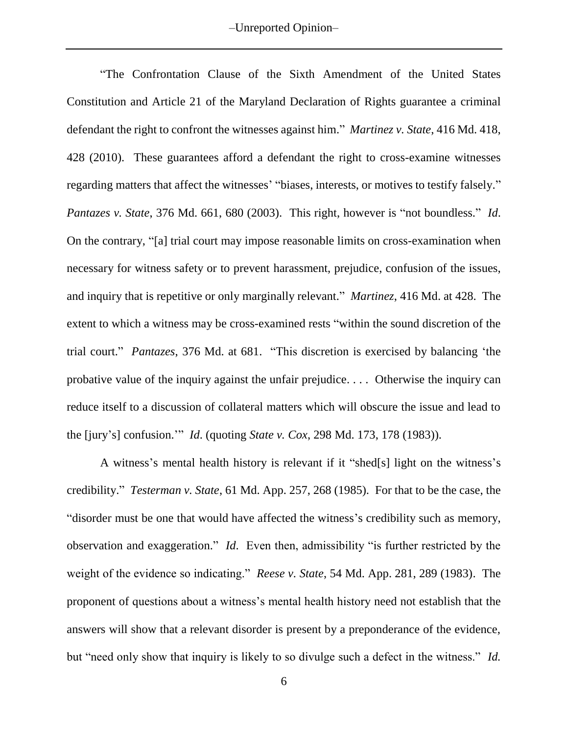"The Confrontation Clause of the Sixth Amendment of the United States Constitution and Article 21 of the Maryland Declaration of Rights guarantee a criminal defendant the right to confront the witnesses against him." *Martinez v. State*, 416 Md. 418, 428 (2010). These guarantees afford a defendant the right to cross-examine witnesses regarding matters that affect the witnesses' "biases, interests, or motives to testify falsely." *Pantazes v. State*, 376 Md. 661, 680 (2003). This right, however is "not boundless." *Id*. On the contrary, "[a] trial court may impose reasonable limits on cross-examination when necessary for witness safety or to prevent harassment, prejudice, confusion of the issues, and inquiry that is repetitive or only marginally relevant." *Martinez*, 416 Md. at 428. The extent to which a witness may be cross-examined rests "within the sound discretion of the trial court." *Pantazes*, 376 Md. at 681. "This discretion is exercised by balancing 'the probative value of the inquiry against the unfair prejudice. . . . Otherwise the inquiry can reduce itself to a discussion of collateral matters which will obscure the issue and lead to the [jury's] confusion.'" *Id*. (quoting *State v. Cox*, 298 Md. 173, 178 (1983)).

A witness's mental health history is relevant if it "shed[s] light on the witness's credibility." *Testerman v. State*, 61 Md. App. 257, 268 (1985). For that to be the case, the "disorder must be one that would have affected the witness's credibility such as memory, observation and exaggeration." *Id*. Even then, admissibility "is further restricted by the weight of the evidence so indicating." *Reese v. State*, 54 Md. App. 281, 289 (1983). The proponent of questions about a witness's mental health history need not establish that the answers will show that a relevant disorder is present by a preponderance of the evidence, but "need only show that inquiry is likely to so divulge such a defect in the witness." *Id.*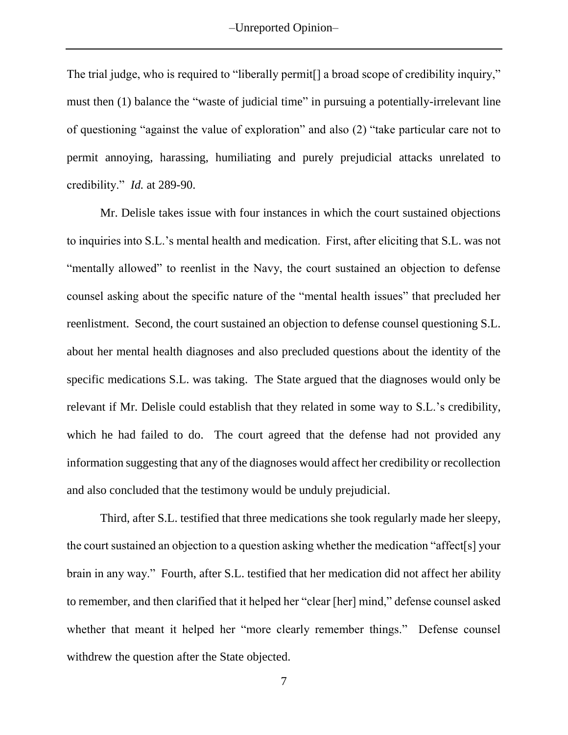The trial judge, who is required to "liberally permit[] a broad scope of credibility inquiry," must then (1) balance the "waste of judicial time" in pursuing a potentially-irrelevant line of questioning "against the value of exploration" and also (2) "take particular care not to permit annoying, harassing, humiliating and purely prejudicial attacks unrelated to credibility." *Id.* at 289-90.

Mr. Delisle takes issue with four instances in which the court sustained objections to inquiries into S.L.'s mental health and medication. First, after eliciting that S.L. was not "mentally allowed" to reenlist in the Navy, the court sustained an objection to defense counsel asking about the specific nature of the "mental health issues" that precluded her reenlistment. Second, the court sustained an objection to defense counsel questioning S.L. about her mental health diagnoses and also precluded questions about the identity of the specific medications S.L. was taking. The State argued that the diagnoses would only be relevant if Mr. Delisle could establish that they related in some way to S.L.'s credibility, which he had failed to do. The court agreed that the defense had not provided any information suggesting that any of the diagnoses would affect her credibility or recollection and also concluded that the testimony would be unduly prejudicial.

Third, after S.L. testified that three medications she took regularly made her sleepy, the court sustained an objection to a question asking whether the medication "affect[s] your brain in any way." Fourth, after S.L. testified that her medication did not affect her ability to remember, and then clarified that it helped her "clear [her] mind," defense counsel asked whether that meant it helped her "more clearly remember things." Defense counsel withdrew the question after the State objected.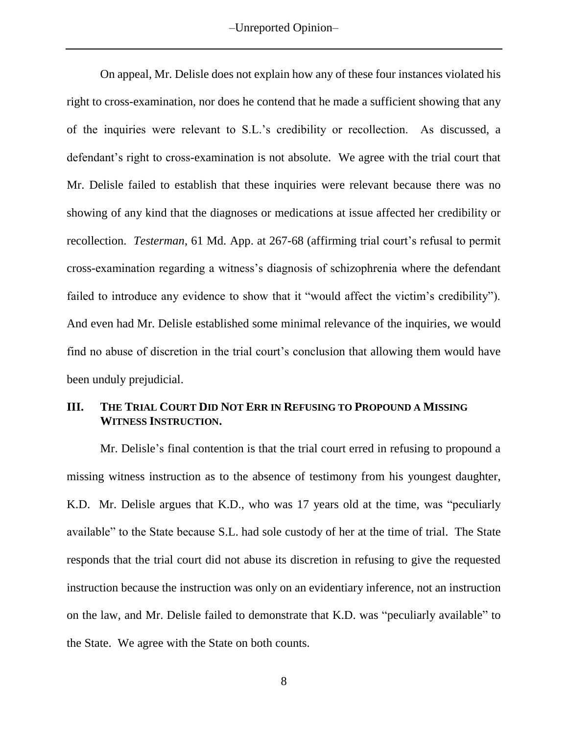On appeal, Mr. Delisle does not explain how any of these four instances violated his right to cross-examination, nor does he contend that he made a sufficient showing that any of the inquiries were relevant to S.L.'s credibility or recollection. As discussed, a defendant's right to cross-examination is not absolute. We agree with the trial court that Mr. Delisle failed to establish that these inquiries were relevant because there was no showing of any kind that the diagnoses or medications at issue affected her credibility or recollection. *Testerman*, 61 Md. App. at 267-68 (affirming trial court's refusal to permit cross-examination regarding a witness's diagnosis of schizophrenia where the defendant failed to introduce any evidence to show that it "would affect the victim's credibility"). And even had Mr. Delisle established some minimal relevance of the inquiries, we would find no abuse of discretion in the trial court's conclusion that allowing them would have been unduly prejudicial.

## **III. THE TRIAL COURT DID NOT ERR IN REFUSING TO PROPOUND A MISSING WITNESS INSTRUCTION.**

Mr. Delisle's final contention is that the trial court erred in refusing to propound a missing witness instruction as to the absence of testimony from his youngest daughter, K.D. Mr. Delisle argues that K.D., who was 17 years old at the time, was "peculiarly available" to the State because S.L. had sole custody of her at the time of trial. The State responds that the trial court did not abuse its discretion in refusing to give the requested instruction because the instruction was only on an evidentiary inference, not an instruction on the law, and Mr. Delisle failed to demonstrate that K.D. was "peculiarly available" to the State. We agree with the State on both counts.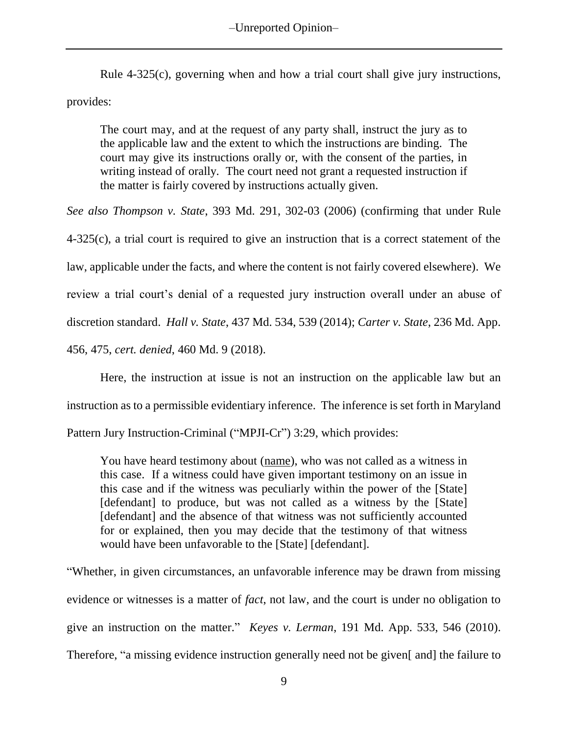Rule 4-325(c), governing when and how a trial court shall give jury instructions,

provides:

The court may, and at the request of any party shall, instruct the jury as to the applicable law and the extent to which the instructions are binding. The court may give its instructions orally or, with the consent of the parties, in writing instead of orally. The court need not grant a requested instruction if the matter is fairly covered by instructions actually given.

*See also Thompson v. State*, 393 Md. 291, 302-03 (2006) (confirming that under Rule 4-325(c), a trial court is required to give an instruction that is a correct statement of the law, applicable under the facts, and where the content is not fairly covered elsewhere). We review a trial court's denial of a requested jury instruction overall under an abuse of discretion standard. *Hall v. State*, 437 Md. 534, 539 (2014); *Carter v. State*, 236 Md. App. 456, 475, *cert. denied*, 460 Md. 9 (2018).

Here, the instruction at issue is not an instruction on the applicable law but an instruction as to a permissible evidentiary inference. The inference is set forth in Maryland

Pattern Jury Instruction-Criminal ("MPJI-Cr") 3:29, which provides:

You have heard testimony about (name), who was not called as a witness in this case. If a witness could have given important testimony on an issue in this case and if the witness was peculiarly within the power of the [State] [defendant] to produce, but was not called as a witness by the [State] [defendant] and the absence of that witness was not sufficiently accounted for or explained, then you may decide that the testimony of that witness would have been unfavorable to the [State] [defendant].

"Whether, in given circumstances, an unfavorable inference may be drawn from missing evidence or witnesses is a matter of *fact*, not law, and the court is under no obligation to give an instruction on the matter." *Keyes v. Lerman*, 191 Md. App. 533, 546 (2010). Therefore, "a missing evidence instruction generally need not be given[ and] the failure to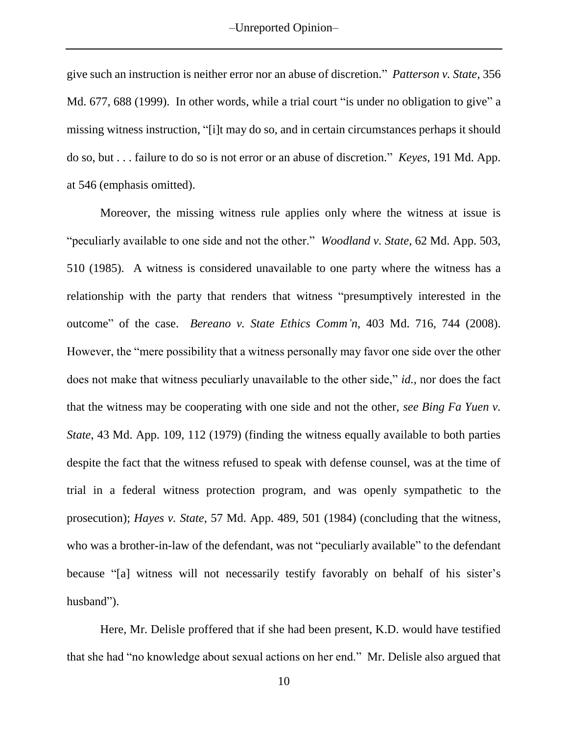give such an instruction is neither error nor an abuse of discretion." *Patterson v. State*, 356 Md. 677, 688 (1999). In other words, while a trial court "is under no obligation to give" a missing witness instruction, "[i]t may do so, and in certain circumstances perhaps it should do so, but . . . failure to do so is not error or an abuse of discretion." *Keyes*, 191 Md. App. at 546 (emphasis omitted).

Moreover, the missing witness rule applies only where the witness at issue is "peculiarly available to one side and not the other." *Woodland v. State*, 62 Md. App. 503, 510 (1985). A witness is considered unavailable to one party where the witness has a relationship with the party that renders that witness "presumptively interested in the outcome" of the case. *Bereano v. State Ethics Comm'n*, 403 Md. 716, 744 (2008). However, the "mere possibility that a witness personally may favor one side over the other does not make that witness peculiarly unavailable to the other side," *id.*, nor does the fact that the witness may be cooperating with one side and not the other, *see Bing Fa Yuen v. State*, 43 Md. App. 109, 112 (1979) (finding the witness equally available to both parties despite the fact that the witness refused to speak with defense counsel, was at the time of trial in a federal witness protection program, and was openly sympathetic to the prosecution); *Hayes v. State*, 57 Md. App. 489, 501 (1984) (concluding that the witness, who was a brother-in-law of the defendant, was not "peculiarly available" to the defendant because "[a] witness will not necessarily testify favorably on behalf of his sister's husband").

Here, Mr. Delisle proffered that if she had been present, K.D. would have testified that she had "no knowledge about sexual actions on her end." Mr. Delisle also argued that